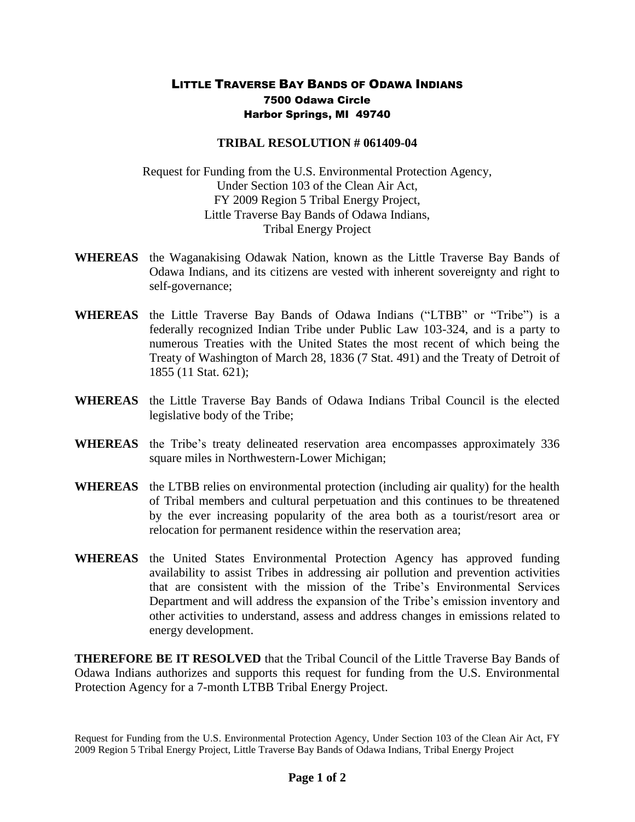## LITTLE TRAVERSE BAY BANDS OF ODAWA INDIANS 7500 Odawa Circle Harbor Springs, MI 49740

## **TRIBAL RESOLUTION # 061409-04**

Request for Funding from the U.S. Environmental Protection Agency, Under Section 103 of the Clean Air Act, FY 2009 Region 5 Tribal Energy Project, Little Traverse Bay Bands of Odawa Indians, Tribal Energy Project

- **WHEREAS** the Waganakising Odawak Nation, known as the Little Traverse Bay Bands of Odawa Indians, and its citizens are vested with inherent sovereignty and right to self-governance;
- **WHEREAS** the Little Traverse Bay Bands of Odawa Indians ("LTBB" or "Tribe") is a federally recognized Indian Tribe under Public Law 103-324, and is a party to numerous Treaties with the United States the most recent of which being the Treaty of Washington of March 28, 1836 (7 Stat. 491) and the Treaty of Detroit of 1855 (11 Stat. 621);
- **WHEREAS** the Little Traverse Bay Bands of Odawa Indians Tribal Council is the elected legislative body of the Tribe;
- **WHEREAS** the Tribe's treaty delineated reservation area encompasses approximately 336 square miles in Northwestern-Lower Michigan;
- **WHEREAS** the LTBB relies on environmental protection (including air quality) for the health of Tribal members and cultural perpetuation and this continues to be threatened by the ever increasing popularity of the area both as a tourist/resort area or relocation for permanent residence within the reservation area;
- **WHEREAS** the United States Environmental Protection Agency has approved funding availability to assist Tribes in addressing air pollution and prevention activities that are consistent with the mission of the Tribe's Environmental Services Department and will address the expansion of the Tribe's emission inventory and other activities to understand, assess and address changes in emissions related to energy development.

**THEREFORE BE IT RESOLVED** that the Tribal Council of the Little Traverse Bay Bands of Odawa Indians authorizes and supports this request for funding from the U.S. Environmental Protection Agency for a 7-month LTBB Tribal Energy Project.

Request for Funding from the U.S. Environmental Protection Agency, Under Section 103 of the Clean Air Act, FY 2009 Region 5 Tribal Energy Project, Little Traverse Bay Bands of Odawa Indians, Tribal Energy Project